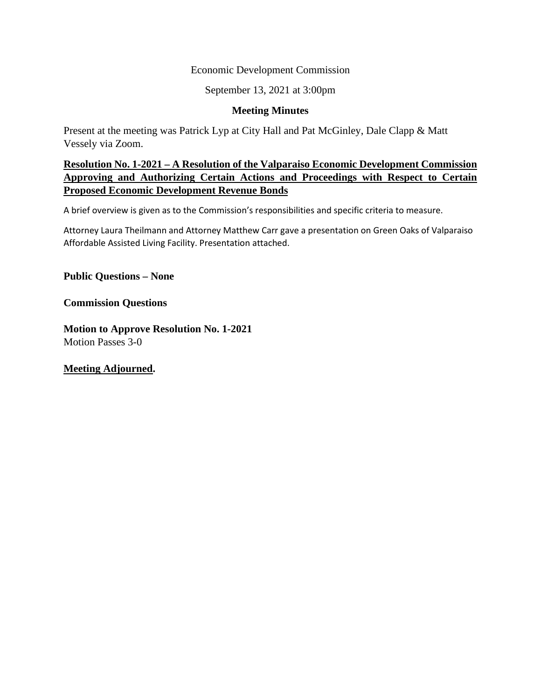#### Economic Development Commission

September 13, 2021 at 3:00pm

#### **Meeting Minutes**

Present at the meeting was Patrick Lyp at City Hall and Pat McGinley, Dale Clapp & Matt Vessely via Zoom.

#### **Resolution No. 1-2021 – A Resolution of the Valparaiso Economic Development Commission Approving and Authorizing Certain Actions and Proceedings with Respect to Certain Proposed Economic Development Revenue Bonds**

A brief overview is given as to the Commission's responsibilities and specific criteria to measure.

Attorney Laura Theilmann and Attorney Matthew Carr gave a presentation on Green Oaks of Valparaiso Affordable Assisted Living Facility. Presentation attached.

**Public Questions – None** 

**Commission Questions** 

**Motion to Approve Resolution No. 1-2021**  Motion Passes 3-0

**Meeting Adjourned.**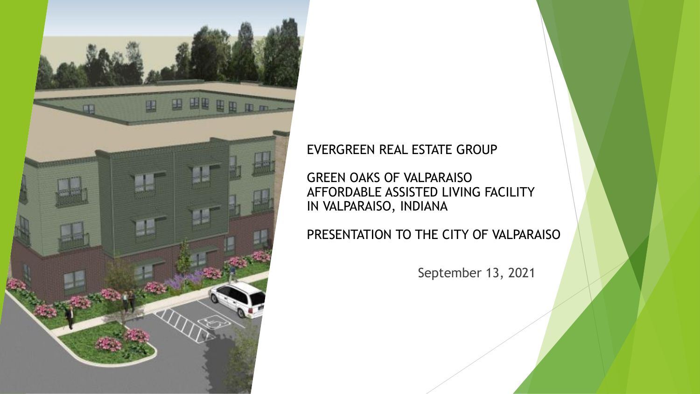

#### EVERGREEN REAL ESTATE GROUP

GREEN OAKS OF VALPARAISO AFFORDABLE ASSISTED LIVING FACILITY IN VALPARAISO, INDIANA

PRESENTATION TO THE CITY OF VALPARAISO

September 13, 2021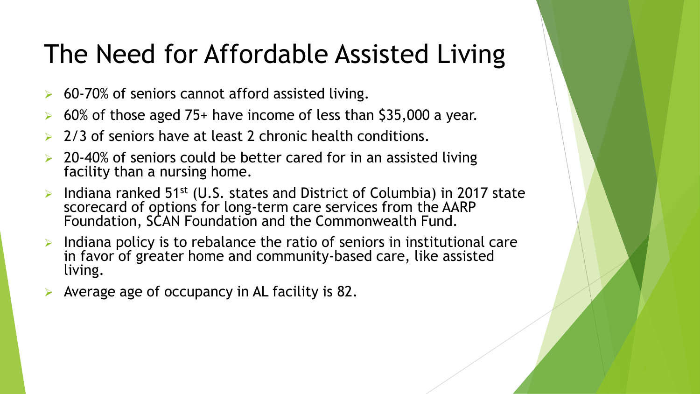#### The Need for Affordable Assisted Living

- $\triangleright$  60-70% of seniors cannot afford assisted living.
- ➢ 60% of those aged 75+ have income of less than \$35,000 a year.
- ➢ 2/3 of seniors have at least 2 chronic health conditions.
- ➢ 20-40% of seniors could be better cared for in an assisted living facility than a nursing home.
- Indiana ranked 51<sup>st</sup> (U.S. states and District of Columbia) in 2017 state scorecard of options for long-term care services from the AARP Foundation, SCAN Foundation and the Commonwealth Fund.
- $\triangleright$  Indiana policy is to rebalance the ratio of seniors in institutional care in favor of greater home and community-based care, like assisted living.
- Average age of occupancy in AL facility is 82.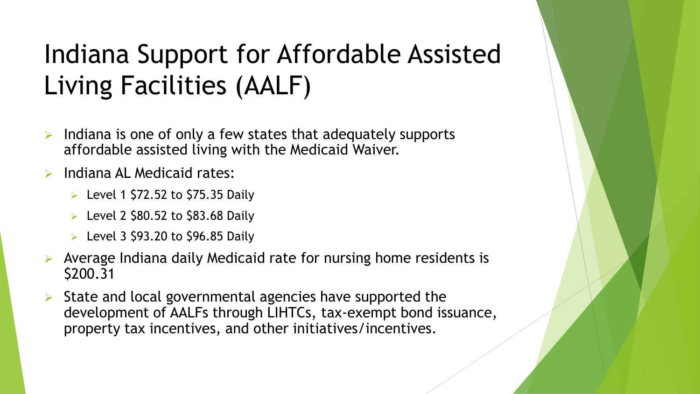# Indiana Support for Affordable Assisted Living Facilities (AALF)

- Indiana is one of only a few states that adequately supports affordable assisted living with the Medicaid Waiver.
- Indiana AL Medicaid rates:
	- $\triangleright$  Level 1 \$72.52 to \$75.35 Daily
	- $\triangleright$  Level 2 \$80.52 to \$83.68 Daily
	- $\triangleright$  Level 3 \$93.20 to \$96.85 Daily
- ➢ Average Indiana daily Medicaid rate for nursing home residents is \$200.31
- State and local governmental agencies have supported the development of AALFs through LIHTCs, tax-exempt bond issuance, property tax incentives, and other initiatives/incentives.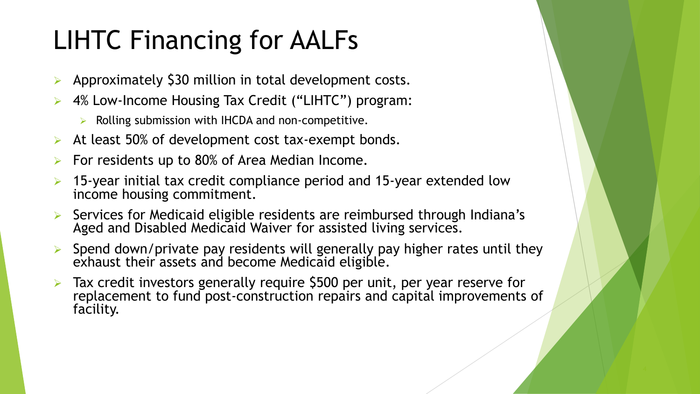# LIHTC Financing for AALFs

- Approximately \$30 million in total development costs.
- ➢ 4% Low-Income Housing Tax Credit ("LIHTC") program:
	- ➢ Rolling submission with IHCDA and non-competitive.
- $\triangleright$  At least 50% of development cost tax-exempt bonds.
- For residents up to 80% of Area Median Income.
- 15-year initial tax credit compliance period and 15-year extended low income housing commitment.
- Services for Medicaid eligible residents are reimbursed through Indiana's Aged and Disabled Medicaid Waiver for assisted living services.
- ➢ Spend down/private pay residents will generally pay higher rates until they exhaust their assets and become Medicaid eligible.
- ➢ Tax credit investors generally require \$500 per unit, per year reserve for replacement to fund post-construction repairs and capital improvements of facility.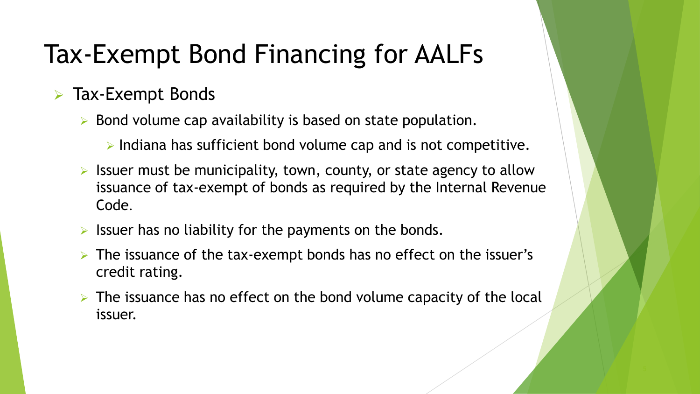## Tax-Exempt Bond Financing for AALFs

#### ➢ Tax-Exempt Bonds

- ➢ Bond volume cap availability is based on state population.
	- ➢ Indiana has sufficient bond volume cap and is not competitive.
- $\triangleright$  Issuer must be municipality, town, county, or state agency to allow issuance of tax-exempt of bonds as required by the Internal Revenue Code.
- $\triangleright$  Issuer has no liability for the payments on the bonds.
- $\triangleright$  The issuance of the tax-exempt bonds has no effect on the issuer's credit rating.
- $\triangleright$  The issuance has no effect on the bond volume capacity of the local issuer.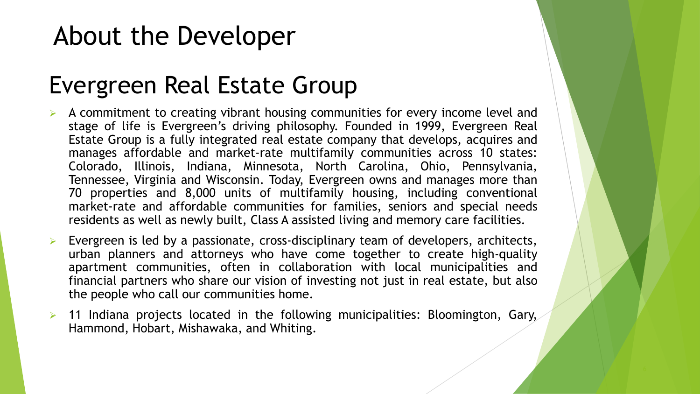### About the Developer

#### Evergreen Real Estate Group

- $\triangleright$  A commitment to creating vibrant housing communities for every income level and stage of life is Evergreen's driving philosophy. Founded in 1999, Evergreen Real Estate Group is a fully integrated real estate company that develops, acquires and manages affordable and market-rate multifamily communities across 10 states: Colorado, Illinois, Indiana, Minnesota, North Carolina, Ohio, Pennsylvania, Tennessee, Virginia and Wisconsin. Today, Evergreen owns and manages more than 70 properties and 8,000 units of multifamily housing, including conventional market-rate and affordable communities for families, seniors and special needs residents as well as newly built, Class A assisted living and memory care facilities.
- ➢ Evergreen is led by a passionate, cross-disciplinary team of developers, architects, urban planners and attorneys who have come together to create high-quality apartment communities, often in collaboration with local municipalities and financial partners who share our vision of investing not just in real estate, but also the people who call our communities home.
- $\triangleright$  11 Indiana projects located in the following municipalities: Bloomington, Gary, Hammond, Hobart, Mishawaka, and Whiting.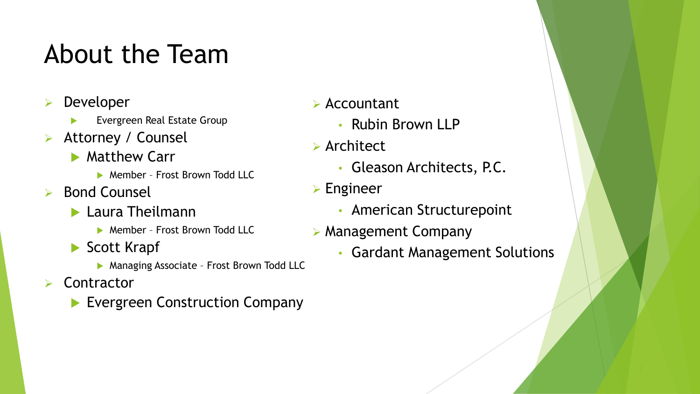### About the Team

- **Developer** 
	- Evergreen Real Estate Group
- Attorney / Counsel
	- **Matthew Carr** 
		- ▶ Member Frost Brown Todd LLC
- ➢ Bond Counsel
	- **Laura Theilmann** 
		- **Member Frost Brown Todd LLC**
	- Scott Krapf
		- **Managing Associate Frost Brown Todd LLC**
- **Contractor** 
	- **Evergreen Construction Company**
- ➢ Accountant
	- Rubin Brown LLP
- ➢ Architect
	- Gleason Architects, P.C.
- ➢ Engineer
	- American Structurepoint
- ➢ Management Company
	- Gardant Management Solutions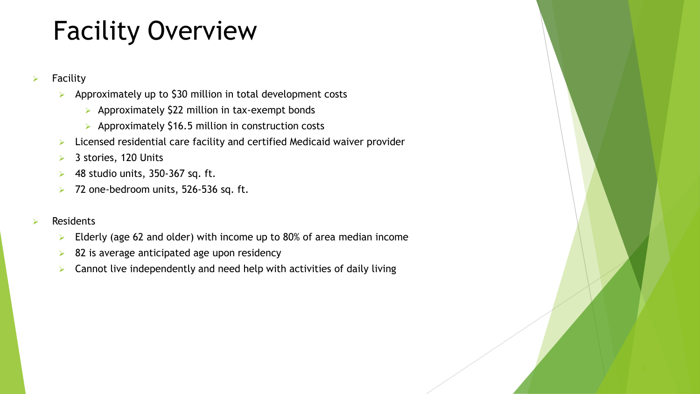### Facility Overview

- $\triangleright$  Facility
	- ➢ Approximately up to \$30 million in total development costs
		- ➢ Approximately \$22 million in tax-exempt bonds
		- ➢ Approximately \$16.5 million in construction costs
	- ➢ Licensed residential care facility and certified Medicaid waiver provider
	- ➢ 3 stories, 120 Units
	- $\triangleright$  48 studio units, 350-367 sq. ft.
	- ➢ 72 one-bedroom units, 526-536 sq. ft.

#### **Residents**

- $\triangleright$  Elderly (age 62 and older) with income up to 80% of area median income
- $\triangleright$  82 is average anticipated age upon residency
- $\triangleright$  Cannot live independently and need help with activities of daily living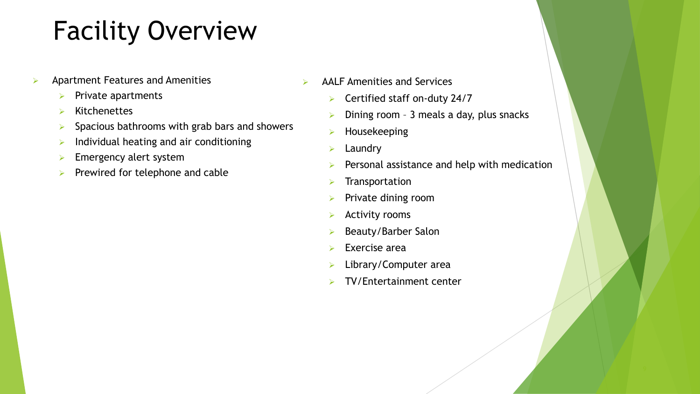### Facility Overview

- ➢ Apartment Features and Amenities
	- $\triangleright$  Private apartments
	- ➢ Kitchenettes
	- $\triangleright$  Spacious bathrooms with grab bars and showers
	- $\triangleright$  Individual heating and air conditioning
	- $\blacktriangleright$  Emergency alert system
	- $\triangleright$  Prewired for telephone and cable
- $\triangleright$  AALF Amenities and Services
	- ➢ Certified staff on-duty 24/7
	- Dining room 3 meals a day, plus snacks
	- ➢ Housekeeping
	- ➢ Laundry
	- Personal assistance and help with medication
	- ➢ Transportation
	- ➢ Private dining room
	- ➢ Activity rooms
	- ➢ Beauty/Barber Salon
	- Exercise area
	- ➢ Library/Computer area
	- ➢ TV/Entertainment center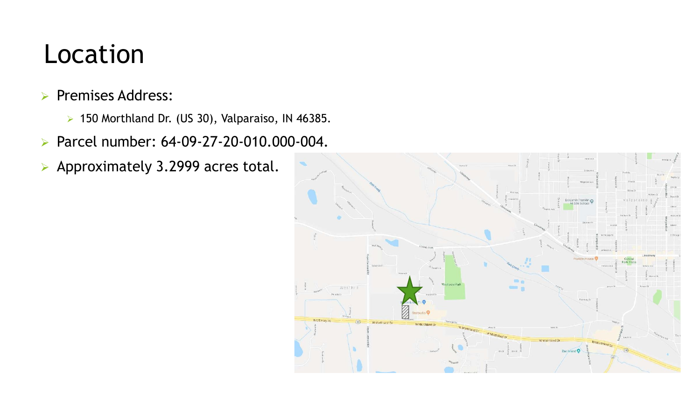#### Location

#### ➢ Premises Address:

- ➢ 150 Morthland Dr. (US 30), Valparaiso, IN 46385.
- ➢ Parcel number: 64-09-27-20-010.000-004.
- ➢ Approximately 3.2999 acres total.

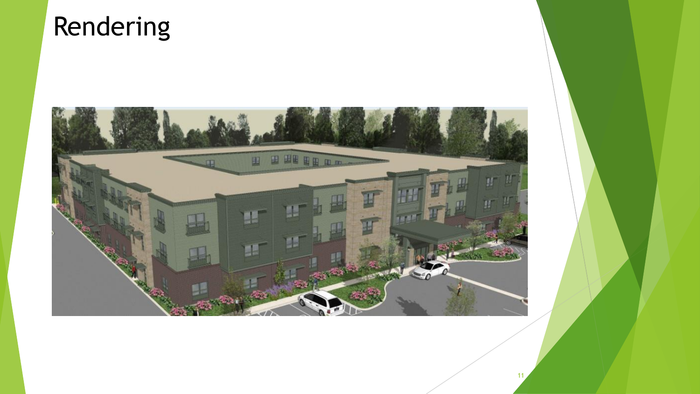### Rendering

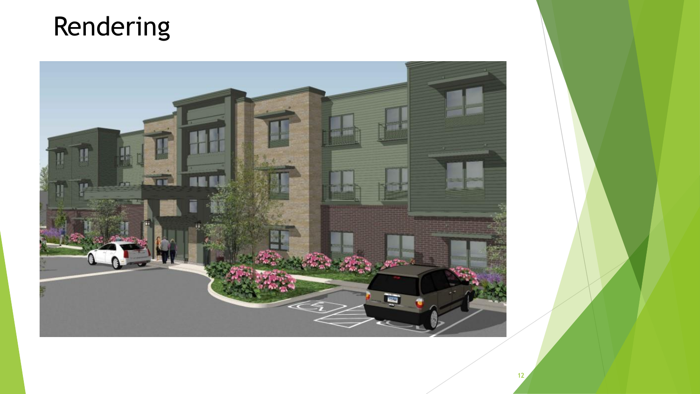### Rendering

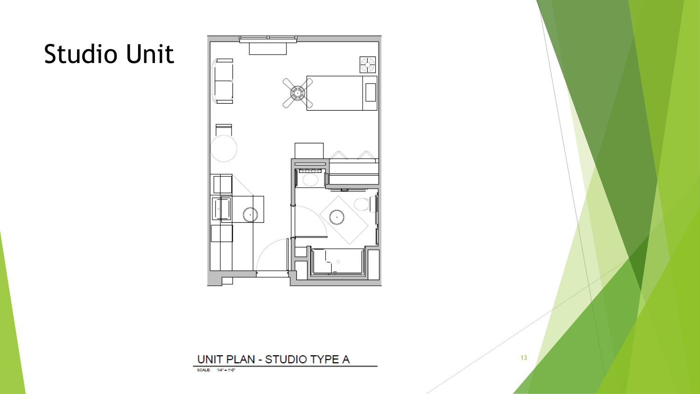# Studio Unit



#### UNIT PLAN - STUDIO TYPE A

SCALE: 1/4" - 1'-0"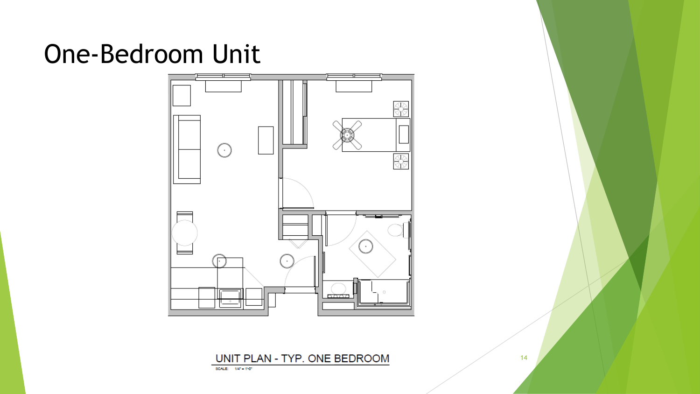#### One-Bedroom Unit



UNIT PLAN - TYP. ONE BEDROOM

SCALE: 1/4" - 110"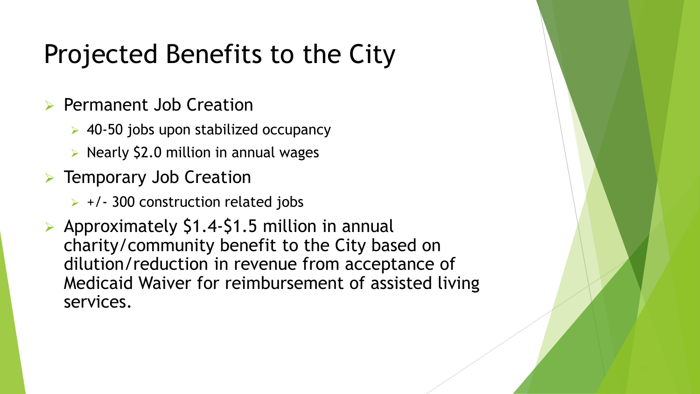### Projected Benefits to the City

- ➢ Permanent Job Creation
	- ➢ 40-50 jobs upon stabilized occupancy
	- ➢ Nearly \$2.0 million in annual wages
- ➢ Temporary Job Creation
	- $\rightarrow$  +/- 300 construction related jobs
- ➢ Approximately \$1.4-\$1.5 million in annual charity/community benefit to the City based on dilution/reduction in revenue from acceptance of Medicaid Waiver for reimbursement of assisted living services.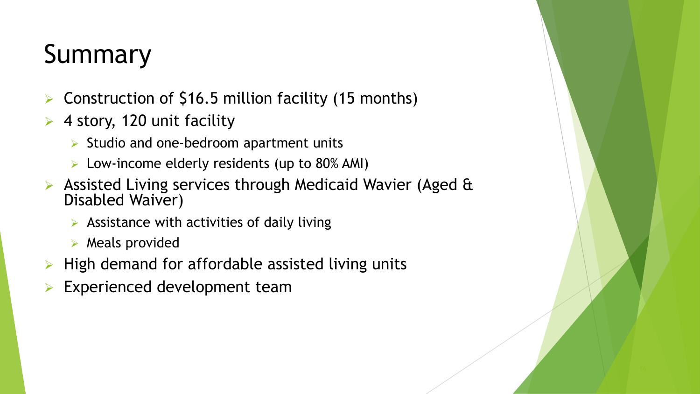# Summary

- Construction of \$16.5 million facility (15 months)
- ➢ 4 story, 120 unit facility
	- $\triangleright$  Studio and one-bedroom apartment units
	- ➢ Low-income elderly residents (up to 80% AMI)
- Assisted Living services through Medicaid Wavier (Aged & Disabled Waiver)
	- $\triangleright$  Assistance with activities of daily living
	- ➢ Meals provided
- $\triangleright$  High demand for affordable assisted living units
- Experienced development team